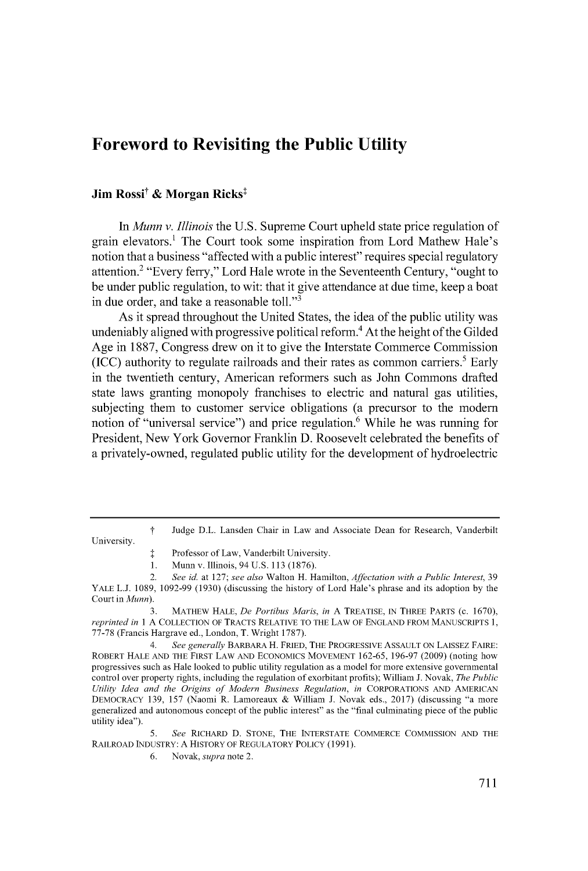# **Foreword to Revisiting the Public Utility**

# **Jim Rossi<sup>†</sup> & Morgan Ricks<sup>‡</sup>**

*In Munn v. Illinois* the **U.S.** Supreme Court upheld state price regulation of grain elevators.' The Court took some inspiration from Lord Mathew Hale's notion that a business "affected with a public interest" requires special regulatory attention.2 "Every ferry," Lord Hale wrote in the Seventeenth Century, "ought to be under public regulation, to wit: that it give attendance at due time, keep a boat in due order, and take a reasonable toll."<sup>3</sup>

As it spread throughout the United States, the idea of the public utility was undeniably aligned with progressive political reform.<sup>4</sup> At the height of the Gilded Age in **1887,** Congress drew on it to give the Interstate Commerce Commission **(ICC)** authority to regulate railroads and their rates as common carriers.' Early in the twentieth century, American reformers such as John Commons drafted state laws granting monopoly franchises to electric and natural gas utilities, subjecting them to customer service obligations (a precursor to the modem notion of "universal service") and price regulation.<sup>6</sup> While he was running for President, New York Governor Franklin **D.** Roosevelt celebrated the benefits of a privately-owned, regulated public utility for the development of hydroelectric

*t* Judge D.L. Lansden Chair in Law and Associate Dean for Research, Vanderbilt

University.

*5. See* **RICHARD D. STONE, THE INTERSTATE COMMERCE COMMISSION AND THE RAILROAD INDUSTRY: A HISTORY OF REGULATORY POLICY (1991).**

**I** Professor of Law, Vanderbilt University.

**<sup>1.</sup>** Munn v. Illinois, 94 **U.S. 113 (1876).**

<sup>2.</sup> *See id.* at **127;** *see also* Walton H. Hamilton, *Affectation with a Public Interest, 39* YALE **L.J. 1089, 1092-99 (1930)** (discussing the history of Lord Hale's phrase and its adoption **by** the Court in *Munn).*

**<sup>3.</sup>** MATHEW **HALE,** *De Portibus Maris, in* **A TREATISE, IN** THREE PARTS **(c. 1670),** *reprinted in* 1 **A COLLECTION** OF TRACTS RELATIVE TO THE LAW OF **ENGLAND** FROM **MANUSCRIPTS 1, 77-78** (Francis Hargrave ed., London, T. Wright **1787).**

*<sup>4.</sup> See generally* **BARBARA** H. FRIED, THE PROGRESSIVE **ASSAULT** ON **LAISSEZ** FAIRE: **ROBERT HALE AND THE FIRST LAW AND ECONOMICS MOVEMENT 162-65, 196-97 (2009)** (noting how progressives such as Hale looked to public utility regulation as a model for more extensive governmental control over property rights, including the regulation of exorbitant profits); William **J.** Novak, *The Public Utility Idea and the Origins of Modern Business Regulation, in* **CORPORATIONS AND AMERICAN** DEMOCRACY **139, 157** (Naomi R. Lamoreaux **&** William **J.** Novak eds., **2017)** (discussing "a more generalized and autonomous concept of the public interest" as the "final culminating piece of the public utility idea").

**<sup>6.</sup>** Novak, *supra* note 2.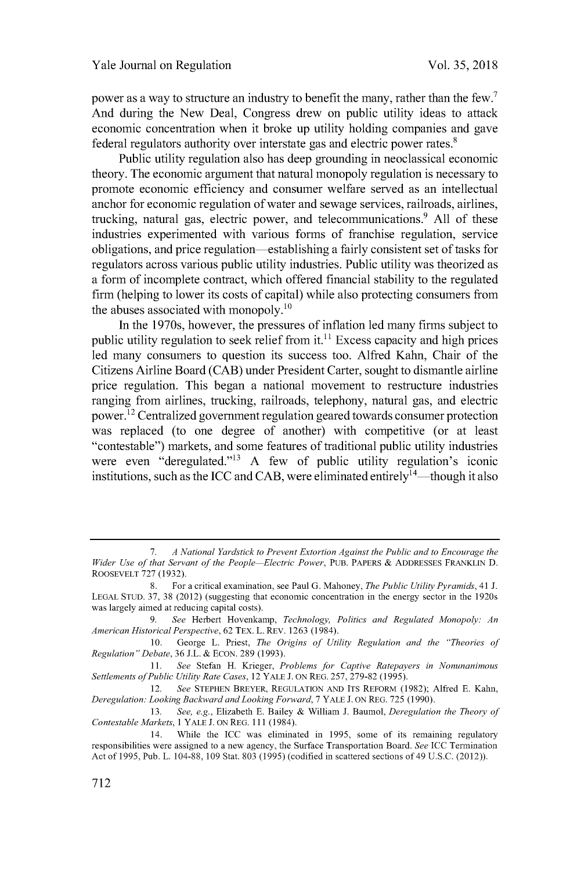power as a way to structure an industry to benefit the many, rather than the few.' And during the New Deal, Congress drew on public utility ideas to attack economic concentration when it broke up utility holding companies and gave federal regulators authority over interstate gas and electric power rates.<sup>8</sup>

Public utility regulation also has deep grounding in neoclassical economic theory. The economic argument that natural monopoly regulation is necessary to promote economic efficiency and consumer welfare served as an intellectual anchor for economic regulation of water and sewage services, railroads, airlines, trucking, natural gas, electric power, and telecommunications.9 **All** of these industries experimented with various forms of franchise regulation, service obligations, and price regulation-establishing a fairly consistent set of tasks for regulators across various public utility industries. Public utility was theorized as a form of incomplete contract, which offered financial stability to the regulated firm (helping to lower its costs of capital) while also protecting consumers from the abuses associated with monopoly.<sup>10</sup>

In the 1970s, however, the pressures of inflation led many firms subject to public utility regulation to seek relief from it.<sup>11</sup> Excess capacity and high prices led many consumers to question its success too. Alfred Kahn, Chair of the Citizens Airline Board **(CAB)** under President Carter, sought to dismantle airline price regulation. This began a national movement to restructure industries ranging from airlines, trucking, railroads, telephony, natural gas, and electric power.<sup>12</sup> Centralized government regulation geared towards consumer protection was replaced (to one degree of another) with competitive (or at least "contestable") markets, and some features of traditional public utility industries were even "deregulated."<sup>13</sup> A few of public utility regulation's iconic institutions, such as the ICC and CAB, were eliminated entirely<sup>14</sup>—though it also

**<sup>7.</sup>** *A National Yardstick to Prevent Extortion Against the Public and to Encourage the Wider Use of that Servant of the People-Electric Power,* **PUB.** PAPERS **&** ADDRESSES FRANKLIN **D.** ROOSEVELT **727 (1932).**

**<sup>8.</sup>** For a critical examination, see Paul **G.** Mahoney, *The Public Utility Pyramids,* 41 **J. LEGAL STUD. 37, 38** (2012) (suggesting that economic concentration in the energy sector in the 1920s was largely aimed at reducing capital costs).

**<sup>9.</sup>** *See* Herbert Hovenkamp, *Technology, Politics and Regulated Monopoly: An American Historical Perspective,* **62** TEX. L. REV. **1263** (1984).

**<sup>10.</sup>** George L. Priest, *The Origins of Utility Regulation and the "Theories of Regulation" Debate,* **36 J.L.** *&* **ECON. 289 (1993).**

**<sup>11.</sup>** *See* Stefan H. Krieger, *Problems for Captive Ratepayers in Nonunanimous Settlements ofPublic Utility Rate Cases,* 12 YALE **J. ON** REG. **257, 279-82 (1995).**

<sup>12.</sup> *See* **STEPHEN** BREYER, **REGULATION AND** ITS REFORM **(1982);** Alfred **E.** Kahn, *Deregulation: Looking Backward and Looking Forward,* **7** YALE **J. ON** REG. **725 (1990).**

**<sup>13.</sup>** *See, e.g.,* Elizabeth **E.** Bailey **&** William **J.** Baumol, *Deregulation the Theory of Contestable Markets,* 1 YALE **J. ON** REG. 111 (1984).

<sup>14.</sup> While the **ICC** was eliminated in **1995,** some of its remaining regulatory responsibilities were assigned to a new agency, the Surface Transportation Board. *See ICC* Termination Act of **1995,** Pub. L. 104-88, **109** Stat. **803 (1995)** (codified in scattered sections of49 **U.S.C.** (2012)).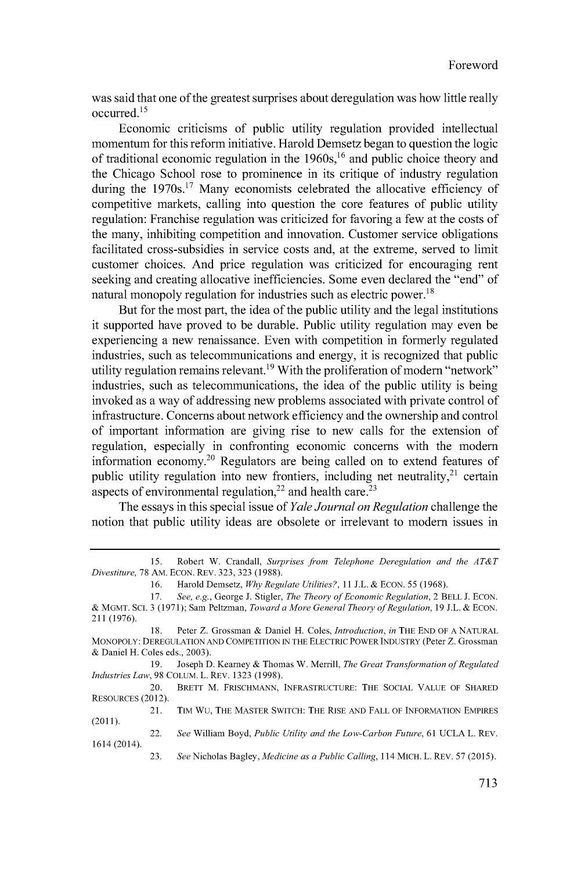was said that one of the greatest surprises about deregulation was how little really occurred<sup>15</sup>

Economic criticisms of public utility regulation provided intellectual momentum for this reform initiative. Harold Demsetz began to question the logic of traditional economic regulation in the  $1960s<sup>16</sup>$  and public choice theory and the Chicago School rose to prominence in its critique of industry regulation during the  $1970s$ <sup>17</sup> Many economists celebrated the allocative efficiency of competitive markets, calling into question the core features of public utility regulation: Franchise regulation was criticized for favoring a few at the costs of the many, inhibiting competition and innovation. Customer service obligations facilitated cross-subsidies in service costs and, at the extreme, served to limit customer choices. And price regulation was criticized for encouraging rent seeking and creating allocative inefficiencies. Some even declared the "end" of natural monopoly regulation for industries such as electric power.<sup>18</sup>

But for the most part, the idea of the public utility and the legal institutions it supported have proved to be durable. Public utility regulation may even be experiencing a new renaissance. Even with competition in formerly regulated industries, such as telecommunications and energy, it is recognized that public utility regulation remains relevant.<sup>19</sup> With the proliferation of modern "network" industries, such as telecommunications, the idea of the public utility is being invoked as a way of addressing new problems associated with private control of infrastructure. Concerns about network efficiency and the ownership and control of important information are giving rise to new calls for the extension of regulation, especially in confronting economic concerns with the modem information economy.20 Regulators are being called on to extend features of public utility regulation into new frontiers, including net neutrality, $21$  certain aspects of environmental regulation,<sup>22</sup> and health care.<sup>23</sup>

The essays in this special issue of *Yale Journal on Regulation* challenge the notion that public utility ideas are obsolete or irrelevant to modem issues in

*<sup>15.</sup>* Robert W. Crandall, *Surprises from Telephone Deregulation and the AT&T Divestiture,* **78 AM. ECON.** REV. **323, 323 (1988).**

**<sup>16.</sup>** Harold Demsetz, *Why Regulate Utilities?,* 11 **IJ.L. & ECON. 55 (1968).**

**<sup>17.</sup>** *See, e.g.,* George **J.** Stigler, *The Theory of Economic Regulation,* 2 BELL **J. ECON. &** MGMT. **SC. 3 (1971);** Sam Peltzman, *Toward a More General Theory ofRegulation,* **19 J.L. & ECON. 211 (1976).**

**<sup>18.</sup>** Peter Z. Grossman **&** Daniel H. Coles, *Introduction, in* THE **END** OF **A NATURAL** MONOPOLY: **DEREGULATION AND COMPETITION IN** THE **ELECTRIC** POWER **INDUSTRY** (Peter Z. Grossman **&** Daniel H. Coles eds., **2003).**

<sup>19.</sup> **Joseph D. Kearney & Thomas W. Merrill,** *The Great Transformation of Regulated Industries Law,* **98 COLUM.** L. REV. **1323 (1998).**

<sup>20.</sup> BRETT M. **FRISCHMANN, INFRASTRUCTURE:** THE **SOCIAL VALUE** OF **SHARED RESOURCES** (2012).

<sup>21.</sup> TIM Wu, THE MASTER SWITCH: THE RISE **AND** FALL OF INFORMATION EMPIRES (2011).

<sup>22.</sup> *See* William Boyd, *Public Utility and the Low-Carbon Future,* **61 UCLA** L. REV. 1614 (2014).

**<sup>23.</sup>** *See* Nicholas Bagley, *Medicine as a Public Calling,* 114 MICH. L. REV. **57 (2015).**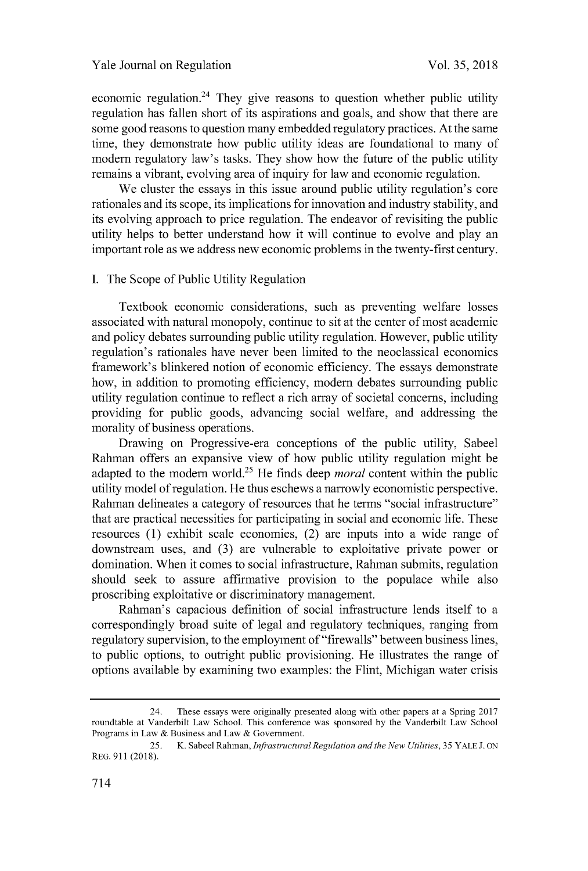economic regulation.<sup>24</sup> They give reasons to question whether public utility regulation has fallen short of its aspirations and goals, and show that there are some good reasons to question many embedded regulatory practices. At the same time, they demonstrate how public utility ideas are foundational to many of modem regulatory law's tasks. They show how the future of the public utility remains a vibrant, evolving area of inquiry for law and economic regulation.

We cluster the essays in this issue around public utility regulation's core rationales and its scope, its implications for innovation and industry stability, and its evolving approach to price regulation. The endeavor of revisiting the public utility helps to better understand how it will continue to evolve and play an important role as we address new economic problems in the twenty-first century.

# **I.** The Scope of Public Utility Regulation

Textbook economic considerations, such as preventing welfare losses associated with natural monopoly, continue to sit at the center of most academic and policy debates surrounding public utility regulation. However, public utility regulation's rationales have never been limited to the neoclassical economics framework's blinkered notion of economic efficiency. The essays demonstrate how, in addition to promoting efficiency, modem debates surrounding public utility regulation continue to reflect a rich array of societal concerns, including providing for public goods, advancing social welfare, and addressing the morality of business operations.

Drawing on Progressive-era conceptions of the public utility, Sabeel Rahman offers an expansive view of how public utility regulation might be adapted to the modem world.25 He finds deep *moral* content within the public utility model of regulation. He thus eschews a narrowly economistic perspective. Rahman delineates a category of resources that he terms "social infrastructure" that are practical necessities for participating in social and economic life. These resources **(1)** exhibit scale economies, (2) are inputs into a wide range of downstream uses, and **(3)** are vulnerable to exploitative private power or domination. When it comes to social infrastructure, Rahman submits, regulation should seek to assure affirmative provision to the populace while also proscribing exploitative or discriminatory management.

Rahman's capacious definition of social infrastructure lends itself to a correspondingly broad suite of legal and regulatory techniques, ranging from regulatory supervision, to the employment of "firewalls" between business lines, to public options, to outright public provisioning. He illustrates the range of options available **by** examining two examples: the Flint, Michigan water crisis

<sup>24.</sup> These essays were originally presented along with other papers at a Spring **2017** roundtable at Vanderbilt Law School. This conference was sponsored **by** the Vanderbilt Law School Programs in Law **&** Business and Law **&** Government.

**<sup>25.</sup>** K. Sabeel Rahman, *Infrastructural Regulation and the New Utilities,* **35 YALE J. ON REG. 911 (2018).**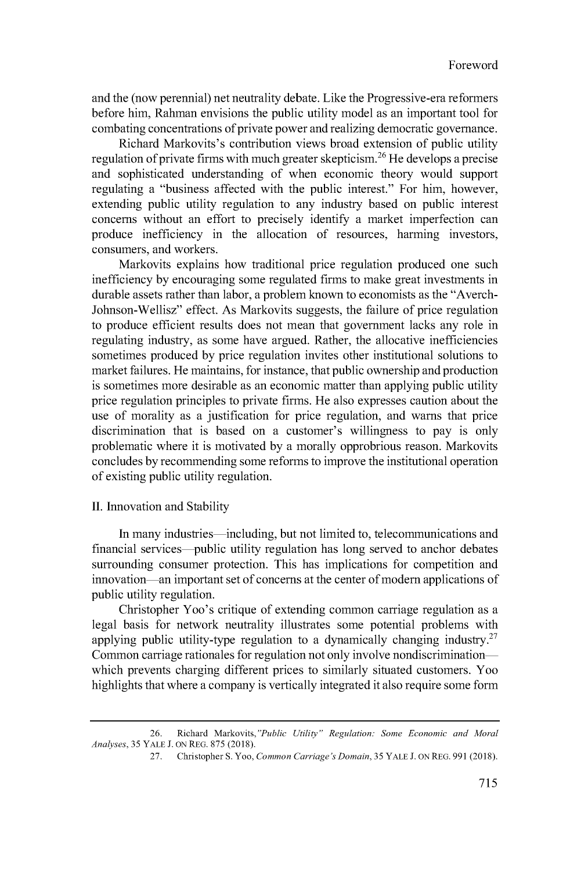and the (now perennial) net neutrality debate. Like the Progressive-era reformers before him, Rahman envisions the public utility model as an important tool for combating concentrations of private power and realizing democratic governance.

Richard Markovits's contribution views broad extension of public utility regulation of private firms with much greater skepticism.<sup>26</sup> He develops a precise and sophisticated understanding of when economic theory would support regulating a "business affected with the public interest." For him, however, extending public utility regulation to any industry based on public interest concerns without an effort to precisely identify a market imperfection can produce inefficiency in the allocation of resources, harming investors, consumers, and workers.

Markovits explains how traditional price regulation produced one such inefficiency **by** encouraging some regulated firms to make great investments in durable assets rather than labor, a problem known to economists as the "Averch-Johnson-Wellisz" effect. As Markovits suggests, the failure of price regulation to produce efficient results does not mean that government lacks any role in regulating industry, as some have argued. Rather, the allocative inefficiencies sometimes produced **by** price regulation invites other institutional solutions to market failures. He maintains, for instance, that public ownership and production is sometimes more desirable as an economic matter than applying public utility price regulation principles to private firms. He also expresses caution about the use of morality as a justification for price regulation, and warns that price discrimination that is based on a customer's willingness to pay is only problematic where it is motivated **by** a morally opprobrious reason. Markovits concludes **by** recommending some reforms to improve the institutional operation of existing public utility regulation.

#### **II.** Innovation and Stability

In many industries—including, but not limited to, telecommunications and financial services-public utility regulation has long served to anchor debates surrounding consumer protection. This has implications for competition and innovation—an important set of concerns at the center of modern applications of public utility regulation.

Christopher Yoo's critique of extending common carriage regulation as a legal basis for network neutrality illustrates some potential problems with applying public utility-type regulation to a dynamically changing industry.<sup>27</sup> Common carriage rationales for regulation not only involve nondiscriminationwhich prevents charging different prices to similarly situated customers. Yoo highlights that where a company is vertically integrated it also require some form

**<sup>26.</sup>** Richard *Markovits,"Public Utility" Regulation: Some Economic and Moral Analyses,* **35** YALE **J. ON** REG. **875 (2018).**

**<sup>27.</sup>** Christopher **S.** Yoo, *Common Carriage's Domain,* **35** YALE **J. ON** REG. **991 (2018).**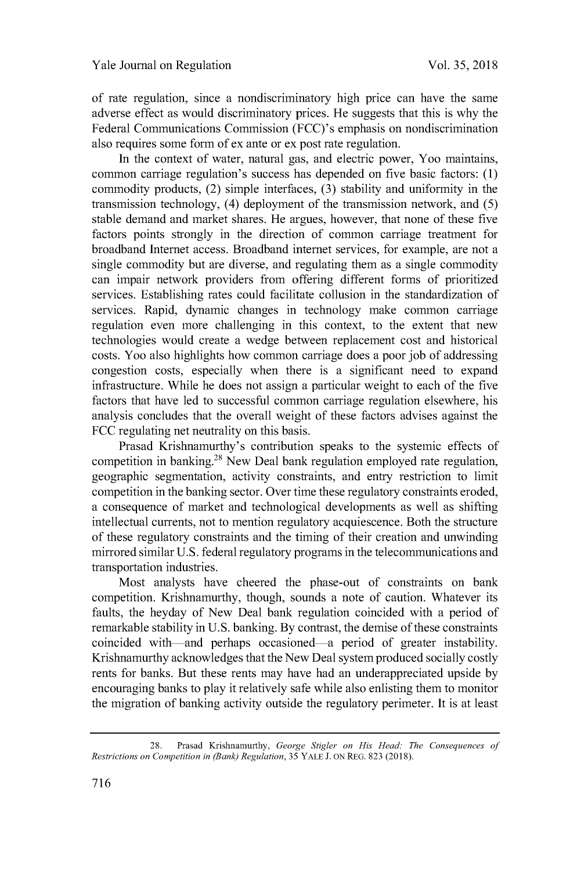of rate regulation, since a nondiscriminatory high price can have the same adverse effect as would discriminatory prices. He suggests that this is why the Federal Communications Commission (FCC)'s emphasis on nondiscrimination also requires some form of ex ante or ex post rate regulation.

In the context of water, natural gas, and electric power, Yoo maintains, common carriage regulation's success has depended on five basic factors: **(1)** commodity products, (2) simple interfaces, **(3)** stability and uniformity in the transmission technology, (4) deployment of the transmission network, and **(5)** stable demand and market shares. He argues, however, that none of these five factors points strongly in the direction of common carriage treatment for broadband Internet access. Broadband internet services, for example, are not a single commodity but are diverse, and regulating them as a single commodity can impair network providers from offering different forms of prioritized services. Establishing rates could facilitate collusion in the standardization of services. Rapid, dynamic changes in technology make common carriage regulation even more challenging in this context, to the extent that new technologies would create a wedge between replacement cost and historical costs. Yoo also highlights how common carriage does a poor **job** of addressing congestion costs, especially when there is a significant need to expand infrastructure. While he does not assign a particular weight to each of the five factors that have led to successful common carriage regulation elsewhere, his analysis concludes that the overall weight of these factors advises against the **FCC** regulating net neutrality on this basis.

Prasad Krishnamurthy's contribution speaks to the systemic effects of competition in banking.<sup>28</sup> New Deal bank regulation employed rate regulation, geographic segmentation, activity constraints, and entry restriction to limit competition in the banking sector. Over time these regulatory constraints eroded, a consequence of market and technological developments as well as shifting intellectual currents, not to mention regulatory acquiescence. Both the structure of these regulatory constraints and the timing of their creation and unwinding mirrored similar **U.S.** federal regulatory programs in the telecommunications and transportation industries.

Most analysts have cheered the phase-out of constraints on bank competition. Krishnamurthy, though, sounds a note of caution. Whatever its faults, the heyday of New Deal bank regulation coincided with a period of remarkable stability in **U.S.** banking. **By** contrast, the demise of these constraints coincided with—and perhaps occasioned—a period of greater instability. Krishnamurthy acknowledges that the New Deal system produced socially costly rents for banks. But these rents may have had an underappreciated upside **by** encouraging banks to play it relatively safe while also enlisting them to monitor the migration of banking activity outside the regulatory perimeter. It is at least

**<sup>28.</sup>** Prasad Krishnamurthy, George Stigler on *His Head: The Consequences of Restrictions on Competition in (Bank) Regulation,* **35 YALE J. ON** REG. **823 (2018).**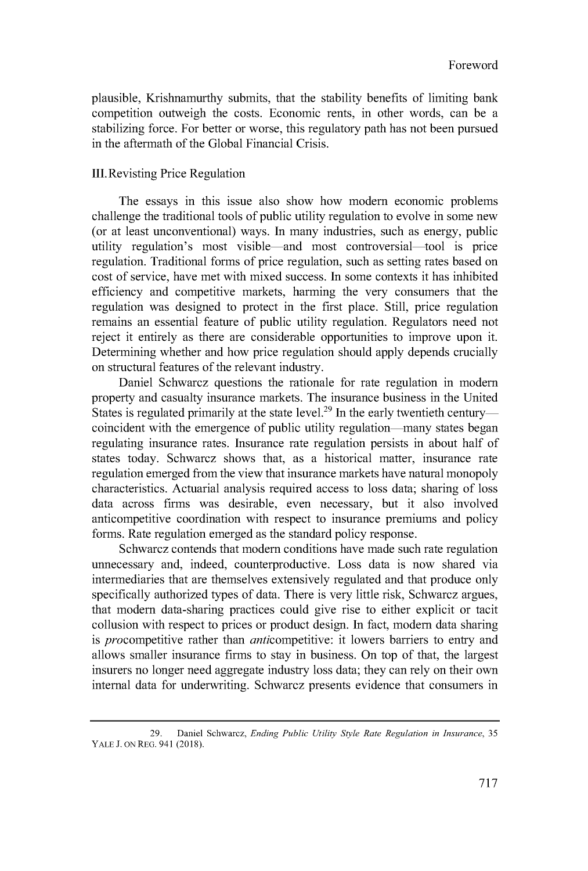plausible, Krishnamurthy submits, that the stability benefits of limiting bank competition outweigh the costs. Economic rents, in other words, can be a stabilizing force. For better or worse, this regulatory path has not been pursued in the aftermath of the Global Financial Crisis.

# III. Revisting Price Regulation

The essays in this issue also show how modem economic problems challenge the traditional tools of public utility regulation to evolve in some new (or at least unconventional) ways. In many industries, such as energy, public utility regulation's most visible-and most controversial-tool is price regulation. Traditional forms of price regulation, such as setting rates based on cost of service, have met with mixed success. In some contexts it has inhibited efficiency and competitive markets, harming the very consumers that the regulation was designed to protect in the first place. Still, price regulation remains an essential feature of public utility regulation. Regulators need not reject it entirely as there are considerable opportunities to improve upon it. Determining whether and how price regulation should apply depends crucially on structural features of the relevant industry.

Daniel Schwarcz questions the rationale for rate regulation in modem property and casualty insurance markets. The insurance business in the United States is regulated primarily at the state level.<sup>29</sup> In the early twentieth century coincident with the emergence of public utility regulation many states began regulating insurance rates. Insurance rate regulation persists in about half of states today. Schwarcz shows that, as a historical matter, insurance rate regulation emerged from the view that insurance markets have natural monopoly characteristics. Actuarial analysis required access to loss data; sharing of loss data across firms was desirable, even necessary, but it also involved anticompetitive coordination with respect to insurance premiums and policy forms. Rate regulation emerged as the standard policy response.

Schwarcz contends that modem conditions have made such rate regulation unnecessary and, indeed, counterproductive. Loss data is now shared via intermediaries that are themselves extensively regulated and that produce only specifically authorized types of data. There is very little risk, Schwarcz argues, that modem data-sharing practices could give rise to either explicit or tacit collusion with respect to prices or product design. In fact, modem data sharing is *procompetitive rather than anticompetitive:* it lowers barriers to entry and allows smaller insurance firms to stay in business. On top of that, the largest insurers no longer need aggregate industry loss data; they can rely on their own intemal data for underwriting. Schwarcz presents evidence that consumers in

**<sup>29.</sup>** Daniel Schwarcz, *Ending Public Utility Style Rate Regulation in Insurance, 35* **YALE J. ON REG.** 941 **(2018).**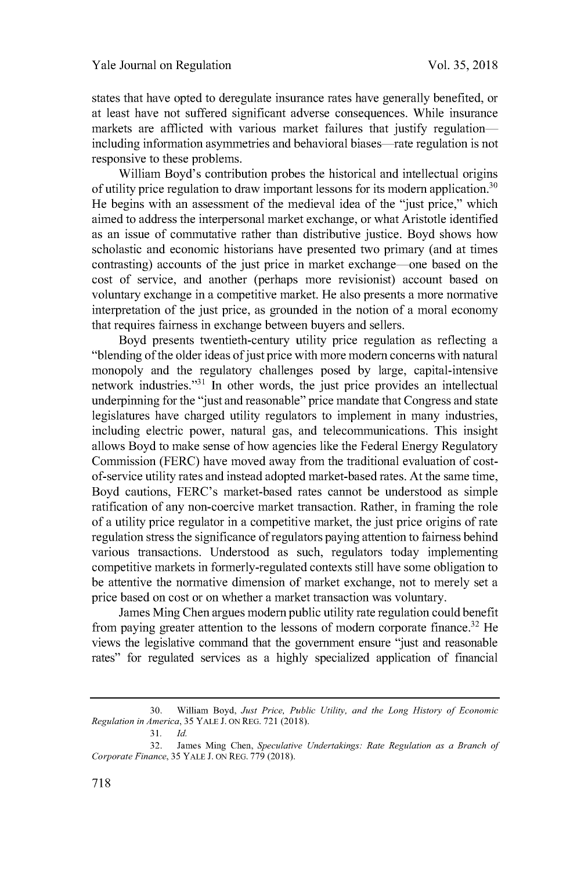states that have opted to deregulate insurance rates have generally benefited, or at least have not suffered significant adverse consequences. While insurance markets are afflicted with various market failures that justify regulationincluding information asymmetries and behavioral biases—rate regulation is not responsive to these problems.

William Boyd's contribution probes the historical and intellectual origins of utility price regulation to draw important lessons for its modem application.<sup>30</sup> He begins with an assessment of the medieval idea of the "just price," which aimed to address the interpersonal market exchange, or what Aristotle identified as an issue of commutative rather than distributive justice. Boyd shows how scholastic and economic historians have presented two primary (and at times contrasting) accounts of the just price in market exchange—one based on the cost of service, and another (perhaps more revisionist) account based on voluntary exchange in a competitive market. He also presents a more normative interpretation of the just price, as grounded in the notion of a moral economy that requires fairness in exchange between buyers and sellers.

Boyd presents twentieth-century utility price regulation as reflecting a "blending of the older ideas of just price with more modern concerns with natural monopoly and the regulatory challenges posed **by** large, capital-intensive network industries."<sup>31</sup> In other words, the just price provides an intellectual underpinning for the "just and reasonable" price mandate that Congress and state legislatures have charged utility regulators to implement in many industries, including electric power, natural gas, and telecommunications. This insight allows Boyd to make sense of how agencies like the Federal Energy Regulatory Commission (FERC) have moved away from the traditional evaluation of costof-service utility rates and instead adopted market-based rates. At the same time, Boyd cautions, FERC's market-based rates cannot be understood as simple ratification of any non-coercive market transaction. Rather, in framing the role of a utility price regulator in a competitive market, the just price origins of rate regulation stress the significance of regulators paying attention to fairness behind various transactions. Understood as such, regulators today implementing competitive markets in formerly-regulated contexts still have some obligation to be attentive the normative dimension of market exchange, not to merely set a price based on cost or on whether a market transaction was voluntary.

James Ming Chen argues modem public utility rate regulation could benefit from paying greater attention to the lessons of modern corporate finance.<sup>32</sup> He views the legislative command that the government ensure "just and reasonable rates" for regulated services as a **highly** specialized application of financial

**<sup>30.</sup>** William Boyd, *Just Price, Public Utility, and the Long History of Economic Regulation in America, 35* YALE **J. ON** REG. **721 (2018).**

**<sup>31.</sup>** *Id.*

**<sup>32.</sup>** James Ming Chen, *Speculative Undertakings: Rate Regulation as a Branch of Corporate Finance,* **35** YALE **J. ON** REG. **779 (2018).**